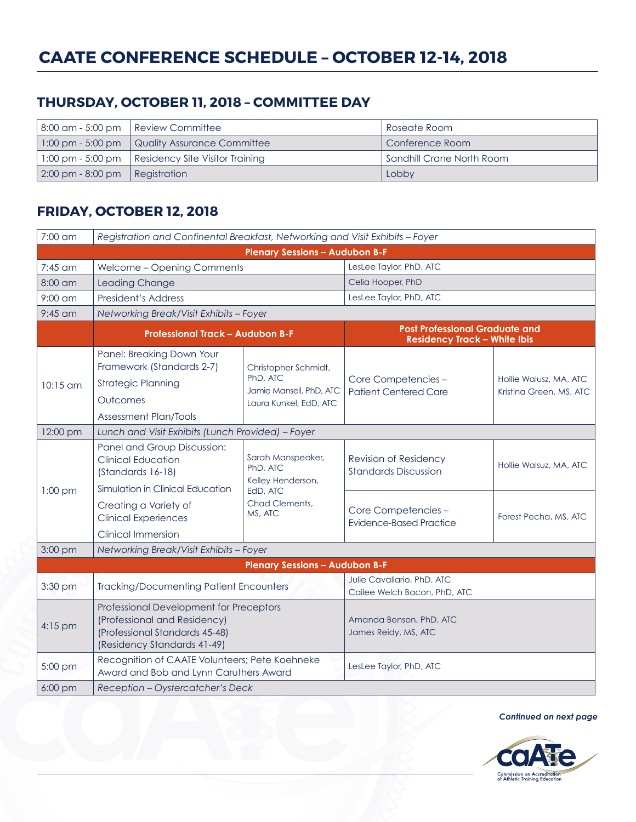# **THURSDAY, OCTOBER 11, 2018 – COMMITTEE DAY**

|                                                | 8:00 am - 5:00 pm   Review Committee                        | Roseate Room              |
|------------------------------------------------|-------------------------------------------------------------|---------------------------|
|                                                | $\mid$ 1:00 pm - 5:00 pm $\mid$ Quality Assurance Committee | Conference Room           |
|                                                | 1:00 pm - 5:00 pm   Residency Site Visitor Training         | Sandhill Crane North Room |
| $\vert$ 2:00 pm - 8:00 pm $\vert$ Registration |                                                             | Lobby                     |

# **FRIDAY, OCTOBER 12, 2018**

| 7:00 am                               | Registration and Continental Breakfast, Networking and Visit Exhibits - Foyer                                                            |                                                                                             |                                                                              |                                                   |  |
|---------------------------------------|------------------------------------------------------------------------------------------------------------------------------------------|---------------------------------------------------------------------------------------------|------------------------------------------------------------------------------|---------------------------------------------------|--|
| <b>Plenary Sessions - Audubon B-F</b> |                                                                                                                                          |                                                                                             |                                                                              |                                                   |  |
| 7:45 am                               | Welcome - Opening Comments                                                                                                               |                                                                                             | LesLee Taylor, PhD, ATC                                                      |                                                   |  |
| 8:00 am                               | <b>Leading Change</b>                                                                                                                    |                                                                                             | Celia Hooper, PhD                                                            |                                                   |  |
| $9:00$ am                             | <b>President's Address</b>                                                                                                               |                                                                                             | LesLee Taylor, PhD, ATC                                                      |                                                   |  |
| $9:45$ am                             | Networking Break/Visit Exhibits - Foyer                                                                                                  |                                                                                             |                                                                              |                                                   |  |
|                                       | <b>Professional Track - Audubon B-F</b>                                                                                                  |                                                                                             | <b>Post Professional Graduate and</b><br><b>Residency Track - White Ibis</b> |                                                   |  |
| $10:15$ am                            | Panel: Breaking Down Your<br>Framework (Standards 2-7)<br><b>Strategic Planning</b><br>Outcomes<br><b>Assessment Plan/Tools</b>          | Christopher Schmidt,<br>PhD, ATC<br>Jamie Mansell, PhD, ATC<br>Laura Kunkel, EdD, ATC       | Core Competencies -<br><b>Patient Centered Care</b>                          | Hollie Walusz, MA, ATC<br>Kristina Green, MS, ATC |  |
| 12:00 pm                              | Lunch and Visit Exhibits (Lunch Provided) - Foyer                                                                                        |                                                                                             |                                                                              |                                                   |  |
|                                       | Panel and Group Discussion:<br><b>Clinical Education</b><br>(Standards 16-18)                                                            | Sarah Manspeaker,<br>PhD, ATC<br>Kelley Henderson,<br>EdD, ATC<br>Chad Clements,<br>MS, ATC | Revision of Residency<br><b>Standards Discussion</b>                         | Hollie Walsuz, MA, ATC                            |  |
| $1:00$ pm                             | Simulation in Clinical Education                                                                                                         |                                                                                             |                                                                              |                                                   |  |
|                                       | Creating a Variety of<br><b>Clinical Experiences</b>                                                                                     |                                                                                             | Core Competencies -<br><b>Evidence-Based Practice</b>                        | Forest Pecha, MS, ATC                             |  |
|                                       | <b>Clinical Immersion</b>                                                                                                                |                                                                                             |                                                                              |                                                   |  |
| 3:00 pm                               | Networking Break/Visit Exhibits - Foyer                                                                                                  |                                                                                             |                                                                              |                                                   |  |
|                                       |                                                                                                                                          | <b>Plenary Sessions - Audubon B-F</b>                                                       |                                                                              |                                                   |  |
| 3:30 pm                               | <b>Tracking/Documenting Patient Encounters</b>                                                                                           |                                                                                             | Julie Cavallario, PhD, ATC<br>Cailee Welch Bacon, PhD, ATC                   |                                                   |  |
| $4:15$ pm                             | Professional Development for Preceptors<br>(Professional and Residency)<br>(Professional Standards 45-48)<br>(Residency Standards 41-49) |                                                                                             | Amanda Benson, PhD, ATC<br>James Reidy, MS, ATC                              |                                                   |  |
| 5:00 pm                               | Recognition of CAATE Volunteers; Pete Koehneke<br>Award and Bob and Lynn Caruthers Award                                                 |                                                                                             | LesLee Taylor, PhD, ATC                                                      |                                                   |  |
| 6:00 pm                               | Reception - Oystercatcher's Deck                                                                                                         |                                                                                             |                                                                              |                                                   |  |

*Continued on next page*

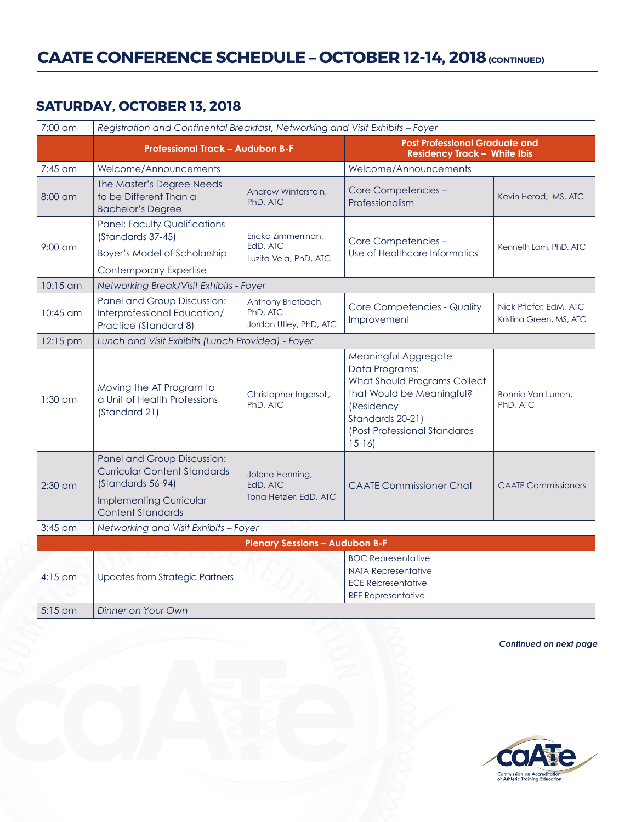# **CAATE CONFERENCE SCHEDULE – OCTOBER 12-14, 2018 (CONTINUED)**

### **SATURDAY, OCTOBER 13, 2018**

| 7:00 am                               | Registration and Continental Breakfast, Networking and Visit Exhibits - Foyer                                                                         |                                                          |                                                                                                                                                                                  |                                                   |
|---------------------------------------|-------------------------------------------------------------------------------------------------------------------------------------------------------|----------------------------------------------------------|----------------------------------------------------------------------------------------------------------------------------------------------------------------------------------|---------------------------------------------------|
|                                       | <b>Professional Track - Audubon B-F</b>                                                                                                               |                                                          | <b>Post Professional Graduate and</b><br><b>Residency Track - White Ibis</b>                                                                                                     |                                                   |
| 7:45 am                               | Welcome/Announcements                                                                                                                                 |                                                          | Welcome/Announcements                                                                                                                                                            |                                                   |
| $8:00$ am                             | The Master's Degree Needs<br>to be Different Than a<br><b>Bachelor's Degree</b>                                                                       | Andrew Winterstein,<br>PhD, ATC                          | Core Competencies -<br>Professionalism                                                                                                                                           | Kevin Herod, MS, ATC                              |
| $9:00$ am                             | <b>Panel: Faculty Qualifications</b><br>(Standards 37-45)<br><b>Boyer's Model of Scholarship</b><br><b>Contemporary Expertise</b>                     | Ericka Zimmerman,<br>EdD, ATC<br>Luzita Vela, PhD, ATC   | Core Competencies-<br>Use of Healthcare Informatics                                                                                                                              | Kenneth Lam, PhD, ATC                             |
| 10:15 am                              | Networking Break/Visit Exhibits - Foyer                                                                                                               |                                                          |                                                                                                                                                                                  |                                                   |
| 10:45 am                              | Panel and Group Discussion:<br>Interprofessional Education/<br>Practice (Standard 8)                                                                  | Anthony Brietbach,<br>PhD, ATC<br>Jordan Utley, PhD, ATC | Core Competencies - Quality<br>Improvement                                                                                                                                       | Nick Pfiefer, EdM, ATC<br>Kristina Green, MS, ATC |
| 12:15 pm                              | Lunch and Visit Exhibits (Lunch Provided) - Foyer                                                                                                     |                                                          |                                                                                                                                                                                  |                                                   |
| $1:30$ pm                             | Moving the AT Program to<br>a Unit of Health Professions<br>(Standard 21)                                                                             | Christopher Ingersoll,<br>PhD, ATC                       | Meaningful Aggregate<br>Data Programs:<br>What Should Programs Collect<br>that Would be Meaningful?<br>(Residency<br>Standards 20-21)<br>(Post Professional Standards<br>$15-16$ | Bonnie Van Lunen.<br>PhD, ATC                     |
| $2:30$ pm                             | Panel and Group Discussion:<br><b>Curricular Content Standards</b><br>(Standards 56-94)<br><b>Implementing Curricular</b><br><b>Content Standards</b> | Jolene Henning,<br>EdD, ATC<br>Tona Hetzler, EdD, ATC    | <b>CAATE Commissioner Chat</b>                                                                                                                                                   | <b>CAATE Commissioners</b>                        |
| 3:45 pm                               | Networking and Visit Exhibits - Foyer                                                                                                                 |                                                          |                                                                                                                                                                                  |                                                   |
| <b>Plenary Sessions - Audubon B-F</b> |                                                                                                                                                       |                                                          |                                                                                                                                                                                  |                                                   |
| $4:15$ pm                             | <b>Updates from Strategic Partners</b><br>Dinner on Your Own                                                                                          |                                                          | <b>BOC Representative</b><br><b>NATA Representative</b><br><b>ECE Representative</b><br><b>REF Representative</b>                                                                |                                                   |
| 5:15 pm                               |                                                                                                                                                       |                                                          |                                                                                                                                                                                  |                                                   |

*Continued on next page*